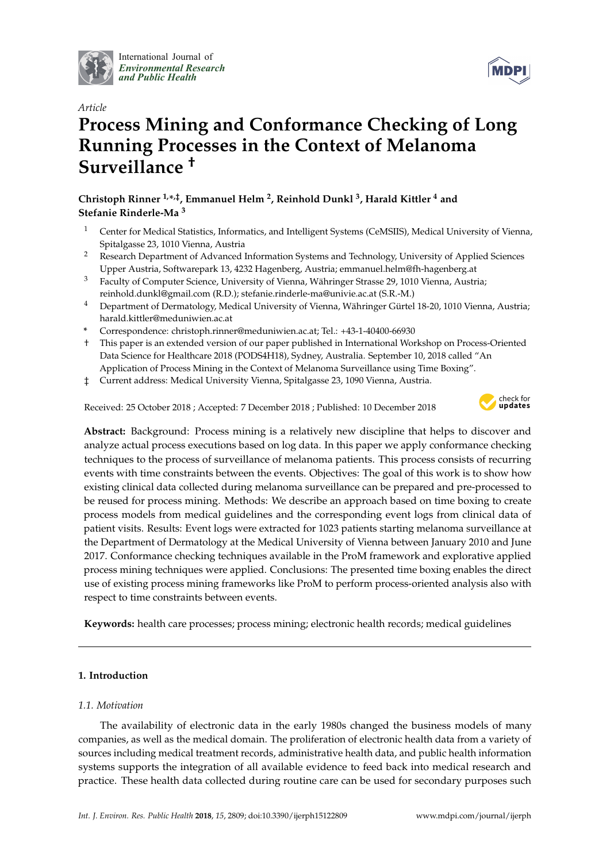

International Journal of *[Environmental Research](http://www.mdpi.com/journal/ijerph) and Public Health*



# *Article* **Process Mining and Conformance Checking of Long Running Processes in the Context of Melanoma Surveillance †**

## **Christoph Rinner 1,\* ,‡, Emmanuel Helm <sup>2</sup> , Reinhold Dunkl <sup>3</sup> , Harald Kittler <sup>4</sup> and Stefanie Rinderle-Ma <sup>3</sup>**

- <sup>1</sup> Center for Medical Statistics, Informatics, and Intelligent Systems (CeMSIIS), Medical University of Vienna, Spitalgasse 23, 1010 Vienna, Austria
- <sup>2</sup> Research Department of Advanced Information Systems and Technology, University of Applied Sciences Upper Austria, Softwarepark 13, 4232 Hagenberg, Austria; emmanuel.helm@fh-hagenberg.at
- <sup>3</sup> Faculty of Computer Science, University of Vienna, Währinger Strasse 29, 1010 Vienna, Austria; reinhold.dunkl@gmail.com (R.D.); stefanie.rinderle-ma@univie.ac.at (S.R.-M.)
- <sup>4</sup> Department of Dermatology, Medical University of Vienna, Währinger Gürtel 18-20, 1010 Vienna, Austria; harald.kittler@meduniwien.ac.at
- **\*** Correspondence: christoph.rinner@meduniwien.ac.at; Tel.: +43-1-40400-66930
- † This paper is an extended version of our paper published in International Workshop on Process-Oriented Data Science for Healthcare 2018 (PODS4H18), Sydney, Australia. September 10, 2018 called "An Application of Process Mining in the Context of Melanoma Surveillance using Time Boxing".
- ‡ Current address: Medical University Vienna, Spitalgasse 23, 1090 Vienna, Austria.

Received: 25 October 2018 ; Accepted: 7 December 2018 ; Published: 10 December 2018



**Abstract:** Background: Process mining is a relatively new discipline that helps to discover and analyze actual process executions based on log data. In this paper we apply conformance checking techniques to the process of surveillance of melanoma patients. This process consists of recurring events with time constraints between the events. Objectives: The goal of this work is to show how existing clinical data collected during melanoma surveillance can be prepared and pre-processed to be reused for process mining. Methods: We describe an approach based on time boxing to create process models from medical guidelines and the corresponding event logs from clinical data of patient visits. Results: Event logs were extracted for 1023 patients starting melanoma surveillance at the Department of Dermatology at the Medical University of Vienna between January 2010 and June 2017. Conformance checking techniques available in the ProM framework and explorative applied process mining techniques were applied. Conclusions: The presented time boxing enables the direct use of existing process mining frameworks like ProM to perform process-oriented analysis also with respect to time constraints between events.

**Keywords:** health care processes; process mining; electronic health records; medical guidelines

## **1. Introduction**

## *1.1. Motivation*

The availability of electronic data in the early 1980s changed the business models of many companies, as well as the medical domain. The proliferation of electronic health data from a variety of sources including medical treatment records, administrative health data, and public health information systems supports the integration of all available evidence to feed back into medical research and practice. These health data collected during routine care can be used for secondary purposes such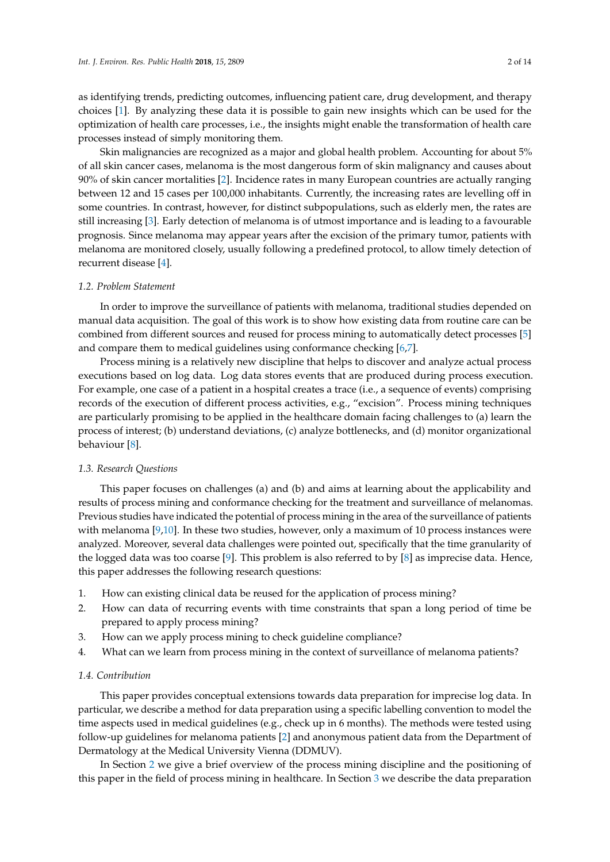as identifying trends, predicting outcomes, influencing patient care, drug development, and therapy choices [\[1\]](#page-12-0). By analyzing these data it is possible to gain new insights which can be used for the optimization of health care processes, i.e., the insights might enable the transformation of health care processes instead of simply monitoring them.

Skin malignancies are recognized as a major and global health problem. Accounting for about 5% of all skin cancer cases, melanoma is the most dangerous form of skin malignancy and causes about 90% of skin cancer mortalities [\[2\]](#page-12-1). Incidence rates in many European countries are actually ranging between 12 and 15 cases per 100,000 inhabitants. Currently, the increasing rates are levelling off in some countries. In contrast, however, for distinct subpopulations, such as elderly men, the rates are still increasing [\[3\]](#page-12-2). Early detection of melanoma is of utmost importance and is leading to a favourable prognosis. Since melanoma may appear years after the excision of the primary tumor, patients with melanoma are monitored closely, usually following a predefined protocol, to allow timely detection of recurrent disease [\[4\]](#page-12-3).

## *1.2. Problem Statement*

In order to improve the surveillance of patients with melanoma, traditional studies depended on manual data acquisition. The goal of this work is to show how existing data from routine care can be combined from different sources and reused for process mining to automatically detect processes [\[5\]](#page-12-4) and compare them to medical guidelines using conformance checking [\[6,](#page-12-5)[7\]](#page-12-6).

Process mining is a relatively new discipline that helps to discover and analyze actual process executions based on log data. Log data stores events that are produced during process execution. For example, one case of a patient in a hospital creates a trace (i.e., a sequence of events) comprising records of the execution of different process activities, e.g., "excision". Process mining techniques are particularly promising to be applied in the healthcare domain facing challenges to (a) learn the process of interest; (b) understand deviations, (c) analyze bottlenecks, and (d) monitor organizational behaviour [\[8\]](#page-12-7).

#### *1.3. Research Questions*

This paper focuses on challenges (a) and (b) and aims at learning about the applicability and results of process mining and conformance checking for the treatment and surveillance of melanomas. Previous studies have indicated the potential of process mining in the area of the surveillance of patients with melanoma [\[9](#page-12-8)[,10\]](#page-12-9). In these two studies, however, only a maximum of 10 process instances were analyzed. Moreover, several data challenges were pointed out, specifically that the time granularity of the logged data was too coarse [\[9\]](#page-12-8). This problem is also referred to by [\[8\]](#page-12-7) as imprecise data. Hence, this paper addresses the following research questions:

- 1. How can existing clinical data be reused for the application of process mining?
- 2. How can data of recurring events with time constraints that span a long period of time be prepared to apply process mining?
- 3. How can we apply process mining to check guideline compliance?
- 4. What can we learn from process mining in the context of surveillance of melanoma patients?

#### *1.4. Contribution*

This paper provides conceptual extensions towards data preparation for imprecise log data. In particular, we describe a method for data preparation using a specific labelling convention to model the time aspects used in medical guidelines (e.g., check up in 6 months). The methods were tested using follow-up guidelines for melanoma patients [\[2\]](#page-12-1) and anonymous patient data from the Department of Dermatology at the Medical University Vienna (DDMUV).

In Section [2](#page-2-0) we give a brief overview of the process mining discipline and the positioning of this paper in the field of process mining in healthcare. In Section [3](#page-2-1) we describe the data preparation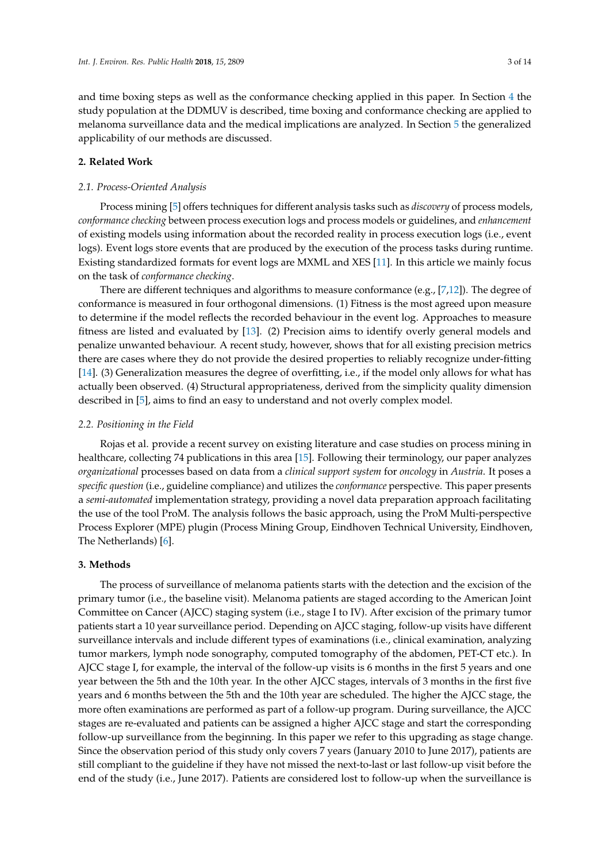and time boxing steps as well as the conformance checking applied in this paper. In Section [4](#page-5-0) the study population at the DDMUV is described, time boxing and conformance checking are applied to melanoma surveillance data and the medical implications are analyzed. In Section [5](#page-10-0) the generalized applicability of our methods are discussed.

## <span id="page-2-0"></span>**2. Related Work**

## *2.1. Process-Oriented Analysis*

Process mining [\[5\]](#page-12-4) offers techniques for different analysis tasks such as *discovery* of process models, *conformance checking* between process execution logs and process models or guidelines, and *enhancement* of existing models using information about the recorded reality in process execution logs (i.e., event logs). Event logs store events that are produced by the execution of the process tasks during runtime. Existing standardized formats for event logs are MXML and XES [\[11\]](#page-12-10). In this article we mainly focus on the task of *conformance checking*.

There are different techniques and algorithms to measure conformance (e.g., [\[7,](#page-12-6)[12\]](#page-12-11)). The degree of conformance is measured in four orthogonal dimensions. (1) Fitness is the most agreed upon measure to determine if the model reflects the recorded behaviour in the event log. Approaches to measure fitness are listed and evaluated by [\[13\]](#page-12-12). (2) Precision aims to identify overly general models and penalize unwanted behaviour. A recent study, however, shows that for all existing precision metrics there are cases where they do not provide the desired properties to reliably recognize under-fitting [\[14\]](#page-12-13). (3) Generalization measures the degree of overfitting, i.e., if the model only allows for what has actually been observed. (4) Structural appropriateness, derived from the simplicity quality dimension described in [\[5\]](#page-12-4), aims to find an easy to understand and not overly complex model.

#### *2.2. Positioning in the Field*

Rojas et al. provide a recent survey on existing literature and case studies on process mining in healthcare, collecting 74 publications in this area [\[15\]](#page-13-0). Following their terminology, our paper analyzes *organizational* processes based on data from a *clinical support system* for *oncology* in *Austria*. It poses a *specific question* (i.e., guideline compliance) and utilizes the *conformance* perspective. This paper presents a *semi-automated* implementation strategy, providing a novel data preparation approach facilitating the use of the tool ProM. The analysis follows the basic approach, using the ProM Multi-perspective Process Explorer (MPE) plugin (Process Mining Group, Eindhoven Technical University, Eindhoven, The Netherlands) [\[6\]](#page-12-5).

## <span id="page-2-1"></span>**3. Methods**

The process of surveillance of melanoma patients starts with the detection and the excision of the primary tumor (i.e., the baseline visit). Melanoma patients are staged according to the American Joint Committee on Cancer (AJCC) staging system (i.e., stage I to IV). After excision of the primary tumor patients start a 10 year surveillance period. Depending on AJCC staging, follow-up visits have different surveillance intervals and include different types of examinations (i.e., clinical examination, analyzing tumor markers, lymph node sonography, computed tomography of the abdomen, PET-CT etc.). In AJCC stage I, for example, the interval of the follow-up visits is 6 months in the first 5 years and one year between the 5th and the 10th year. In the other AJCC stages, intervals of 3 months in the first five years and 6 months between the 5th and the 10th year are scheduled. The higher the AJCC stage, the more often examinations are performed as part of a follow-up program. During surveillance, the AJCC stages are re-evaluated and patients can be assigned a higher AJCC stage and start the corresponding follow-up surveillance from the beginning. In this paper we refer to this upgrading as stage change. Since the observation period of this study only covers 7 years (January 2010 to June 2017), patients are still compliant to the guideline if they have not missed the next-to-last or last follow-up visit before the end of the study (i.e., June 2017). Patients are considered lost to follow-up when the surveillance is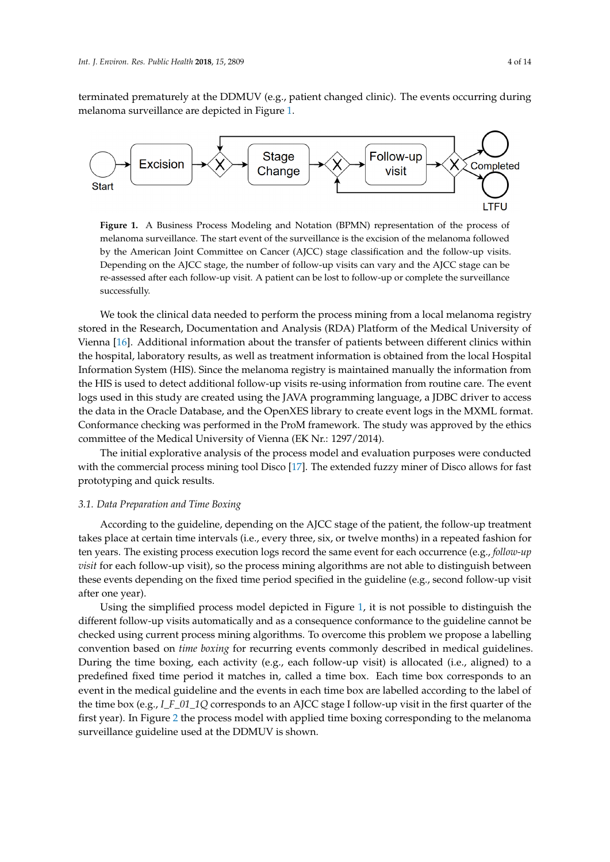terminated prematurely at the DDMUV (e.g., patient changed clinic). The events occurring during melanoma surveillance are depicted in Figure [1.](#page-3-0)

<span id="page-3-0"></span>

**Figure 1.** A Business Process Modeling and Notation (BPMN) representation of the process of melanoma surveillance. The start event of the surveillance is the excision of the melanoma followed by the American Joint Committee on Cancer (AJCC) stage classification and the follow-up visits. Depending on the AJCC stage, the number of follow-up visits can vary and the AJCC stage can be re-assessed after each follow-up visit. A patient can be lost to follow-up or complete the surveillance successfully.

We took the clinical data needed to perform the process mining from a local melanoma registry stored in the Research, Documentation and Analysis (RDA) Platform of the Medical University of Vienna [\[16\]](#page-13-1). Additional information about the transfer of patients between different clinics within the hospital, laboratory results, as well as treatment information is obtained from the local Hospital Information System (HIS). Since the melanoma registry is maintained manually the information from the HIS is used to detect additional follow-up visits re-using information from routine care. The event logs used in this study are created using the JAVA programming language, a JDBC driver to access the data in the Oracle Database, and the OpenXES library to create event logs in the MXML format. Conformance checking was performed in the ProM framework. The study was approved by the ethics committee of the Medical University of Vienna (EK Nr.: 1297/2014).

The initial explorative analysis of the process model and evaluation purposes were conducted with the commercial process mining tool Disco [\[17\]](#page-13-2). The extended fuzzy miner of Disco allows for fast prototyping and quick results.

#### <span id="page-3-1"></span>*3.1. Data Preparation and Time Boxing*

According to the guideline, depending on the AJCC stage of the patient, the follow-up treatment takes place at certain time intervals (i.e., every three, six, or twelve months) in a repeated fashion for ten years. The existing process execution logs record the same event for each occurrence (e.g., *follow-up visit* for each follow-up visit), so the process mining algorithms are not able to distinguish between these events depending on the fixed time period specified in the guideline (e.g., second follow-up visit after one year).

Using the simplified process model depicted in Figure [1,](#page-3-0) it is not possible to distinguish the different follow-up visits automatically and as a consequence conformance to the guideline cannot be checked using current process mining algorithms. To overcome this problem we propose a labelling convention based on *time boxing* for recurring events commonly described in medical guidelines. During the time boxing, each activity (e.g., each follow-up visit) is allocated (i.e., aligned) to a predefined fixed time period it matches in, called a time box. Each time box corresponds to an event in the medical guideline and the events in each time box are labelled according to the label of the time box (e.g., *I\_F\_01\_1Q* corresponds to an AJCC stage I follow-up visit in the first quarter of the first year). In Figure [2](#page-4-0) the process model with applied time boxing corresponding to the melanoma surveillance guideline used at the DDMUV is shown.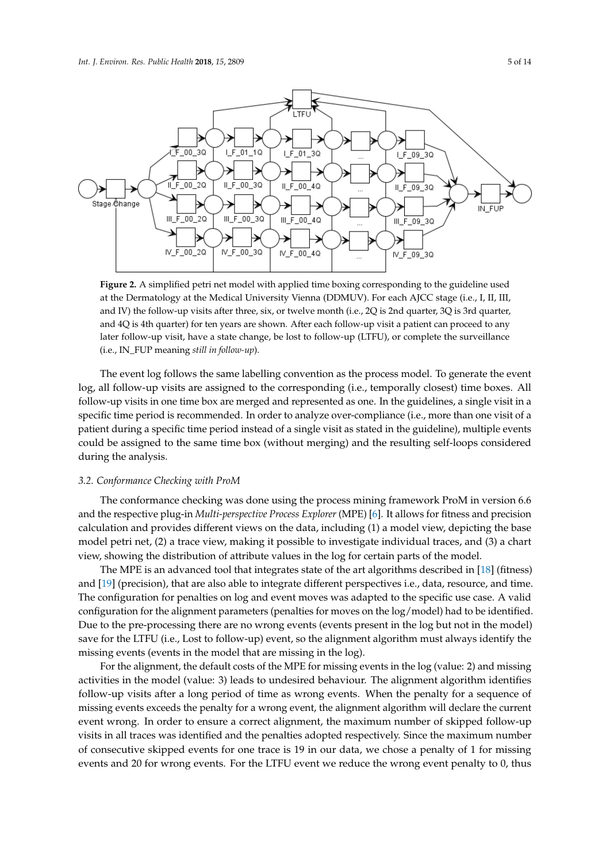<span id="page-4-0"></span>

**Figure 2.** A simplified petri net model with applied time boxing corresponding to the guideline used at the Dermatology at the Medical University Vienna (DDMUV). For each AJCC stage (i.e., I, II, III, and IV) the follow-up visits after three, six, or twelve month (i.e., 2Q is 2nd quarter, 3Q is 3rd quarter, and 4Q is 4th quarter) for ten years are shown. After each follow-up visit a patient can proceed to any later follow-up visit, have a state change, be lost to follow-up (LTFU), or complete the surveillance (i.e., IN\_FUP meaning *still in follow-up*).

The event log follows the same labelling convention as the process model. To generate the event log, all follow-up visits are assigned to the corresponding (i.e., temporally closest) time boxes. All follow-up visits in one time box are merged and represented as one. In the guidelines, a single visit in a specific time period is recommended. In order to analyze over-compliance (i.e., more than one visit of a patient during a specific time period instead of a single visit as stated in the guideline), multiple events could be assigned to the same time box (without merging) and the resulting self-loops considered during the analysis.

#### *3.2. Conformance Checking with ProM*

The conformance checking was done using the process mining framework ProM in version 6.6 and the respective plug-in *Multi-perspective Process Explorer* (MPE) [\[6\]](#page-12-5). It allows for fitness and precision calculation and provides different views on the data, including (1) a model view, depicting the base model petri net, (2) a trace view, making it possible to investigate individual traces, and (3) a chart view, showing the distribution of attribute values in the log for certain parts of the model.

The MPE is an advanced tool that integrates state of the art algorithms described in [\[18\]](#page-13-3) (fitness) and [\[19\]](#page-13-4) (precision), that are also able to integrate different perspectives i.e., data, resource, and time. The configuration for penalties on log and event moves was adapted to the specific use case. A valid configuration for the alignment parameters (penalties for moves on the log/model) had to be identified. Due to the pre-processing there are no wrong events (events present in the log but not in the model) save for the LTFU (i.e., Lost to follow-up) event, so the alignment algorithm must always identify the missing events (events in the model that are missing in the log).

For the alignment, the default costs of the MPE for missing events in the log (value: 2) and missing activities in the model (value: 3) leads to undesired behaviour. The alignment algorithm identifies follow-up visits after a long period of time as wrong events. When the penalty for a sequence of missing events exceeds the penalty for a wrong event, the alignment algorithm will declare the current event wrong. In order to ensure a correct alignment, the maximum number of skipped follow-up visits in all traces was identified and the penalties adopted respectively. Since the maximum number of consecutive skipped events for one trace is 19 in our data, we chose a penalty of 1 for missing events and 20 for wrong events. For the LTFU event we reduce the wrong event penalty to 0, thus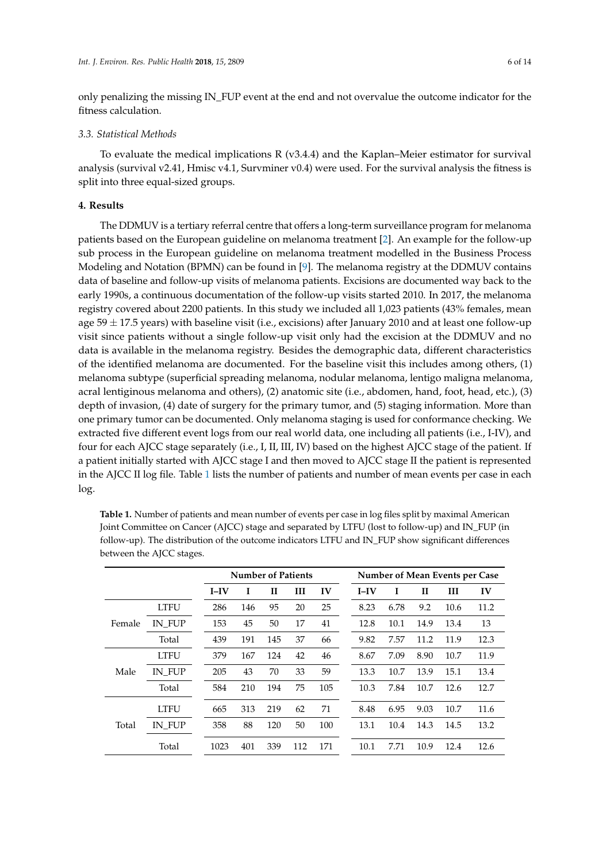only penalizing the missing IN\_FUP event at the end and not overvalue the outcome indicator for the fitness calculation.

#### *3.3. Statistical Methods*

To evaluate the medical implications R (v3.4.4) and the Kaplan–Meier estimator for survival analysis (survival v2.41, Hmisc v4.1, Survminer v0.4) were used. For the survival analysis the fitness is split into three equal-sized groups.

#### <span id="page-5-0"></span>**4. Results**

The DDMUV is a tertiary referral centre that offers a long-term surveillance program for melanoma patients based on the European guideline on melanoma treatment [\[2\]](#page-12-1). An example for the follow-up sub process in the European guideline on melanoma treatment modelled in the Business Process Modeling and Notation (BPMN) can be found in [\[9\]](#page-12-8). The melanoma registry at the DDMUV contains data of baseline and follow-up visits of melanoma patients. Excisions are documented way back to the early 1990s, a continuous documentation of the follow-up visits started 2010. In 2017, the melanoma registry covered about 2200 patients. In this study we included all 1,023 patients (43% females, mean age 59  $\pm$  17.5 years) with baseline visit (i.e., excisions) after January 2010 and at least one follow-up visit since patients without a single follow-up visit only had the excision at the DDMUV and no data is available in the melanoma registry. Besides the demographic data, different characteristics of the identified melanoma are documented. For the baseline visit this includes among others, (1) melanoma subtype (superficial spreading melanoma, nodular melanoma, lentigo maligna melanoma, acral lentiginous melanoma and others), (2) anatomic site (i.e., abdomen, hand, foot, head, etc.), (3) depth of invasion, (4) date of surgery for the primary tumor, and (5) staging information. More than one primary tumor can be documented. Only melanoma staging is used for conformance checking. We extracted five different event logs from our real world data, one including all patients (i.e., I-IV), and four for each AJCC stage separately (i.e., I, II, III, IV) based on the highest AJCC stage of the patient. If a patient initially started with AJCC stage I and then moved to AJCC stage II the patient is represented in the AJCC II log file. Table [1](#page-5-1) lists the number of patients and number of mean events per case in each log.

<span id="page-5-1"></span>**Table 1.** Number of patients and mean number of events per case in log files split by maximal American Joint Committee on Cancer (AJCC) stage and separated by LTFU (lost to follow-up) and IN\_FUP (in follow-up). The distribution of the outcome indicators LTFU and IN\_FUP show significant differences between the AJCC stages.

|        |             | <b>Number of Patients</b> |     |              |     | Number of Mean Events per Case |        |      |              |      |      |
|--------|-------------|---------------------------|-----|--------------|-----|--------------------------------|--------|------|--------------|------|------|
|        |             | $I-IV$                    |     | $\mathbf{H}$ | Ш   | IV                             | $I-IV$ | I    | $\mathbf{H}$ | Ш    | IV   |
| Female | <b>LTFU</b> | 286                       | 146 | 95           | 20  | 25                             | 8.23   | 6.78 | 9.2          | 10.6 | 11.2 |
|        | IN FUP      | 153                       | 45  | 50           | 17  | 41                             | 12.8   | 10.1 | 14.9         | 13.4 | 13   |
|        | Total       | 439                       | 191 | 145          | 37  | 66                             | 9.82   | 7.57 | 11.2         | 11.9 | 12.3 |
| Male   | <b>LTFU</b> | 379                       | 167 | 124          | 42  | 46                             | 8.67   | 7.09 | 8.90         | 10.7 | 11.9 |
|        | IN FUP      | 205                       | 43  | 70           | 33  | 59                             | 13.3   | 10.7 | 13.9         | 15.1 | 13.4 |
|        | Total       | 584                       | 210 | 194          | 75  | 105                            | 10.3   | 7.84 | 10.7         | 12.6 | 12.7 |
| Total  | <b>LTFU</b> | 665                       | 313 | 219          | 62  | 71                             | 8.48   | 6.95 | 9.03         | 10.7 | 11.6 |
|        | IN FUP      | 358                       | 88  | 120          | 50  | 100                            | 13.1   | 10.4 | 14.3         | 14.5 | 13.2 |
|        | Total       | 1023                      | 401 | 339          | 112 | 171                            | 10.1   | 7.71 | 10.9         | 12.4 | 12.6 |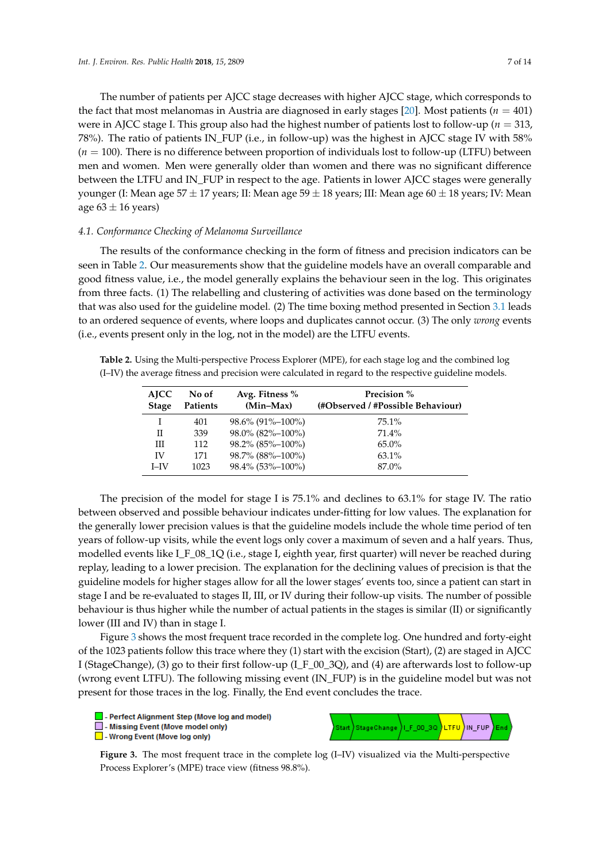The number of patients per AJCC stage decreases with higher AJCC stage, which corresponds to the fact that most melanomas in Austria are diagnosed in early stages [\[20\]](#page-13-5). Most patients ( $n = 401$ ) were in AJCC stage I. This group also had the highest number of patients lost to follow-up (*n* = 313, 78%). The ratio of patients IN\_FUP (i.e., in follow-up) was the highest in AJCC stage IV with 58% (*n* = 100). There is no difference between proportion of individuals lost to follow-up (LTFU) between men and women. Men were generally older than women and there was no significant difference between the LTFU and IN\_FUP in respect to the age. Patients in lower AJCC stages were generally younger (I: Mean age  $57 \pm 17$  years; II: Mean age  $59 \pm 18$  years; III: Mean age  $60 \pm 18$  years; IV: Mean age  $63 \pm 16$  years)

#### *4.1. Conformance Checking of Melanoma Surveillance*

The results of the conformance checking in the form of fitness and precision indicators can be seen in Table [2.](#page-6-0) Our measurements show that the guideline models have an overall comparable and good fitness value, i.e., the model generally explains the behaviour seen in the log. This originates from three facts. (1) The relabelling and clustering of activities was done based on the terminology that was also used for the guideline model. (2) The time boxing method presented in Section [3.1](#page-3-1) leads to an ordered sequence of events, where loops and duplicates cannot occur. (3) The only *wrong* events (i.e., events present only in the log, not in the model) are the LTFU events.

<span id="page-6-0"></span>**Table 2.** Using the Multi-perspective Process Explorer (MPE), for each stage log and the combined log (I–IV) the average fitness and precision were calculated in regard to the respective guideline models.

| <b>AICC</b><br><b>Stage</b> | No of<br>Patients | Avg. Fitness $%$<br>(Min-Max) | <b>Precision</b> %<br>(#Observed / #Possible Behaviour) |
|-----------------------------|-------------------|-------------------------------|---------------------------------------------------------|
|                             | 401               | $98.6\%$ (91\%-100\%)         | $75.1\%$                                                |
| Η                           | 339               | $98.0\%$ (82\%-100\%)         | 71.4%                                                   |
| Ш                           | 112               | $98.2\%$ (85%-100%)           | $65.0\%$                                                |
| IV                          | 171               | $98.7\%$ (88\%-100\%)         | $63.1\%$                                                |
| $I$ -IV                     | 1023              | $98.4\%$ (53\%-100\%)         | 87.0%                                                   |

The precision of the model for stage I is 75.1% and declines to 63.1% for stage IV. The ratio between observed and possible behaviour indicates under-fitting for low values. The explanation for the generally lower precision values is that the guideline models include the whole time period of ten years of follow-up visits, while the event logs only cover a maximum of seven and a half years. Thus, modelled events like I\_F\_08\_1Q (i.e., stage I, eighth year, first quarter) will never be reached during replay, leading to a lower precision. The explanation for the declining values of precision is that the guideline models for higher stages allow for all the lower stages' events too, since a patient can start in stage I and be re-evaluated to stages II, III, or IV during their follow-up visits. The number of possible behaviour is thus higher while the number of actual patients in the stages is similar (II) or significantly lower (III and IV) than in stage I.

Figure [3](#page-6-1) shows the most frequent trace recorded in the complete log. One hundred and forty-eight of the 1023 patients follow this trace where they (1) start with the excision (Start), (2) are staged in AJCC I (StageChange), (3) go to their first follow-up (I\_F\_00\_3Q), and (4) are afterwards lost to follow-up (wrong event LTFU). The following missing event (IN\_FUP) is in the guideline model but was not present for those traces in the log. Finally, the End event concludes the trace.

<span id="page-6-1"></span>



**Figure 3.** The most frequent trace in the complete log (I–IV) visualized via the Multi-perspective Process Explorer's (MPE) trace view (fitness 98.8%).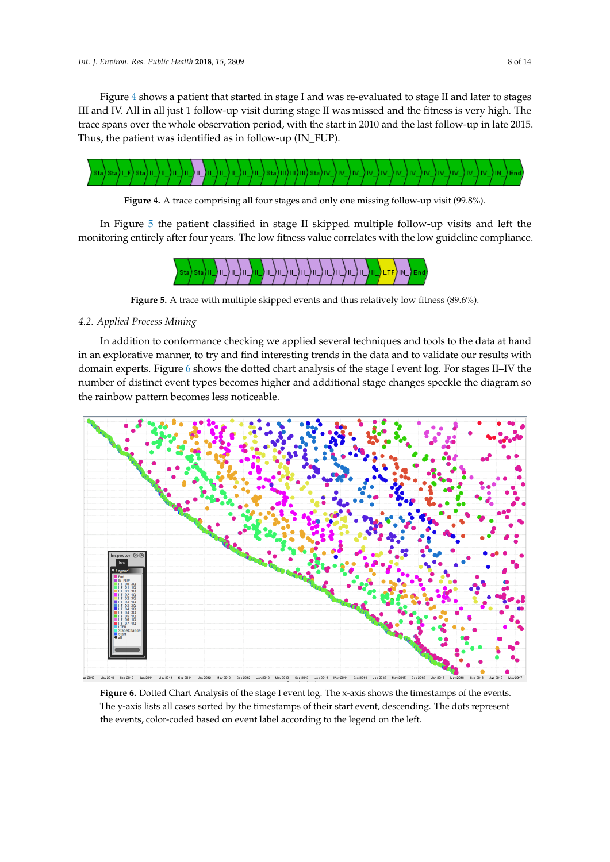Figure [4](#page-7-0) shows a patient that started in stage I and was re-evaluated to stage II and later to stages III and IV. All in all just 1 follow-up visit during stage II was missed and the fitness is very high. The trace spans over the whole observation period, with the start in 2010 and the last follow-up in late 2015. Thus, the patient was identified as in follow-up (IN\_FUP).

<span id="page-7-0"></span>

Figure 4. A trace comprising all four stages and only one missing follow-up visit (99.8%).

<span id="page-7-1"></span>In Figure [5](#page-7-1) the patient classified in stage II skipped multiple follow-up visits and left the monitoring entirely after four years. The low fitness value correlates with the low guideline compliance.



**Figure 5.** A trace with multiple skipped events and thus relatively low fitness (89.6%).

## *4.2. Applied Process Mining*

In addition to conformance checking we applied several techniques and tools to the data at hand in an explorative manner, to try and find interesting trends in the data and to validate our results with domain experts. Figure [6](#page-7-2) shows the dotted chart analysis of the stage I event log. For stages II–IV the number of distinct event types becomes higher and additional stage changes speckle the diagram so the rainbow pattern becomes less noticeable.

<span id="page-7-2"></span>

**Figure 6.** Dotted Chart Analysis of the stage I event log. The x-axis shows the timestamps of the events. The y-axis lists all cases sorted by the timestamps of their start event, descending. The dots represent the events, color-coded based on event label according to the legend on the left.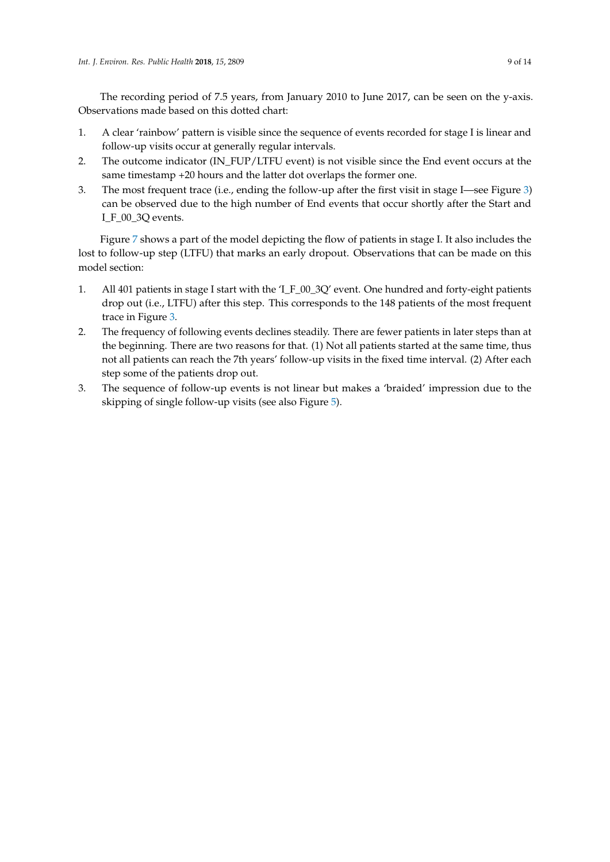The recording period of 7.5 years, from January 2010 to June 2017, can be seen on the y-axis. Observations made based on this dotted chart:

- 1. A clear 'rainbow' pattern is visible since the sequence of events recorded for stage I is linear and follow-up visits occur at generally regular intervals.
- 2. The outcome indicator (IN\_FUP/LTFU event) is not visible since the End event occurs at the same timestamp +20 hours and the latter dot overlaps the former one.
- 3. The most frequent trace (i.e., ending the follow-up after the first visit in stage I—see Figure [3\)](#page-6-1) can be observed due to the high number of End events that occur shortly after the Start and I\_F\_00\_3Q events.

Figure [7](#page-9-0) shows a part of the model depicting the flow of patients in stage I. It also includes the lost to follow-up step (LTFU) that marks an early dropout. Observations that can be made on this model section:

- 1. All 401 patients in stage I start with the 'I\_F\_00\_3Q' event. One hundred and forty-eight patients drop out (i.e., LTFU) after this step. This corresponds to the 148 patients of the most frequent trace in Figure [3.](#page-6-1)
- 2. The frequency of following events declines steadily. There are fewer patients in later steps than at the beginning. There are two reasons for that. (1) Not all patients started at the same time, thus not all patients can reach the 7th years' follow-up visits in the fixed time interval. (2) After each step some of the patients drop out.
- 3. The sequence of follow-up events is not linear but makes a 'braided' impression due to the skipping of single follow-up visits (see also Figure [5\)](#page-7-1).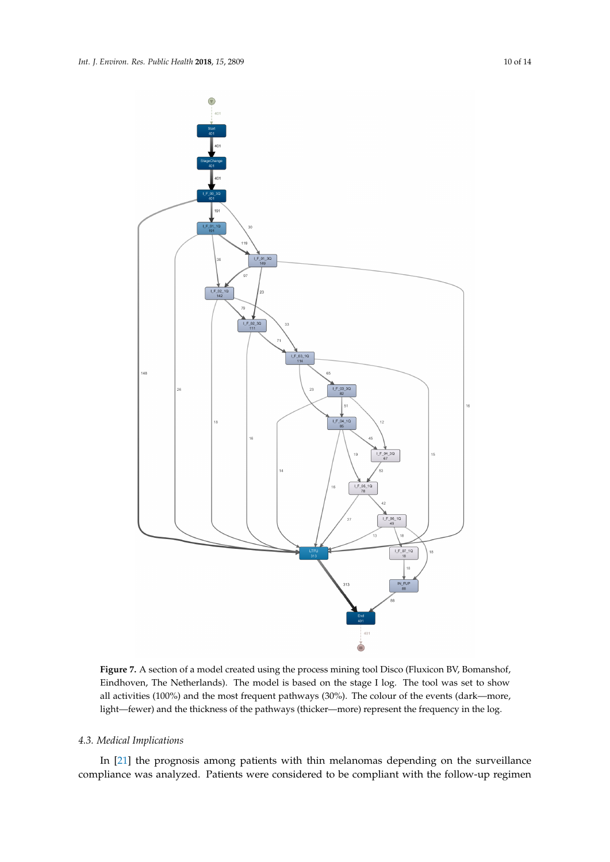<span id="page-9-0"></span>

Figure 7. A section of a model created using the process mining tool Disco (Fluxicon BV, Bomanshof, Eindhoven, The Netherlands). The model is based on the stage I log. The tool was set to show all activities (100%) and the most frequent pathways (30%). The colour of the events (dark—more, light—fewer) and the thickness of the pathways (thicker—more) represent the frequency in the log.

#### *4.3. Medical Implications*

In [\[21\]](#page-13-6) the prognosis among patients with thin melanomas depending on the surveillance compliance was analyzed. Patients were considered to be compliant with the follow-up regimen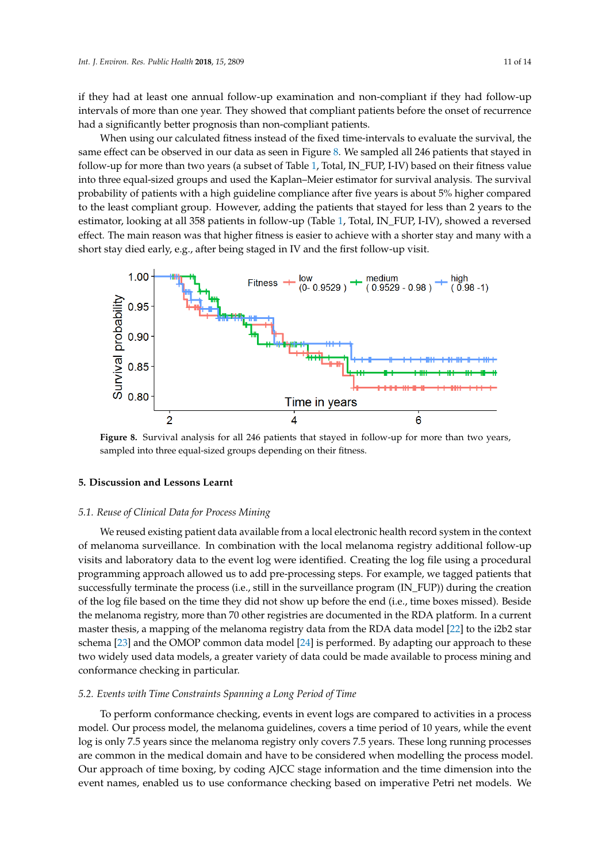if they had at least one annual follow-up examination and non-compliant if they had follow-up intervals of more than one year. They showed that compliant patients before the onset of recurrence had a significantly better prognosis than non-compliant patients.

When using our calculated fitness instead of the fixed time-intervals to evaluate the survival, the same effect can be observed in our data as seen in Figure [8.](#page-10-1) We sampled all 246 patients that stayed in follow-up for more than two years (a subset of Table [1,](#page-5-1) Total, IN\_FUP, I-IV) based on their fitness value into three equal-sized groups and used the Kaplan–Meier estimator for survival analysis. The survival probability of patients with a high guideline compliance after five years is about 5% higher compared to the least compliant group. However, adding the patients that stayed for less than 2 years to the estimator, looking at all 358 patients in follow-up (Table [1,](#page-5-1) Total, IN\_FUP, I-IV), showed a reversed effect. The main reason was that higher fitness is easier to achieve with a shorter stay and many with a short stay died early, e.g., after being staged in IV and the first follow-up visit.

<span id="page-10-1"></span>

**Figure 8.** Survival analysis for all 246 patients that stayed in follow-up for more than two years, sampled into three equal-sized groups depending on their fitness.

#### <span id="page-10-0"></span>**5. Discussion and Lessons Learnt**

#### *5.1. Reuse of Clinical Data for Process Mining*

We reused existing patient data available from a local electronic health record system in the context of melanoma surveillance. In combination with the local melanoma registry additional follow-up visits and laboratory data to the event log were identified. Creating the log file using a procedural programming approach allowed us to add pre-processing steps. For example, we tagged patients that successfully terminate the process (i.e., still in the surveillance program (IN\_FUP)) during the creation of the log file based on the time they did not show up before the end (i.e., time boxes missed). Beside the melanoma registry, more than 70 other registries are documented in the RDA platform. In a current master thesis, a mapping of the melanoma registry data from the RDA data model [\[22\]](#page-13-7) to the i2b2 star schema [\[23\]](#page-13-8) and the OMOP common data model [\[24\]](#page-13-9) is performed. By adapting our approach to these two widely used data models, a greater variety of data could be made available to process mining and conformance checking in particular.

#### *5.2. Events with Time Constraints Spanning a Long Period of Time*

To perform conformance checking, events in event logs are compared to activities in a process model. Our process model, the melanoma guidelines, covers a time period of 10 years, while the event log is only 7.5 years since the melanoma registry only covers 7.5 years. These long running processes are common in the medical domain and have to be considered when modelling the process model. Our approach of time boxing, by coding AJCC stage information and the time dimension into the event names, enabled us to use conformance checking based on imperative Petri net models. We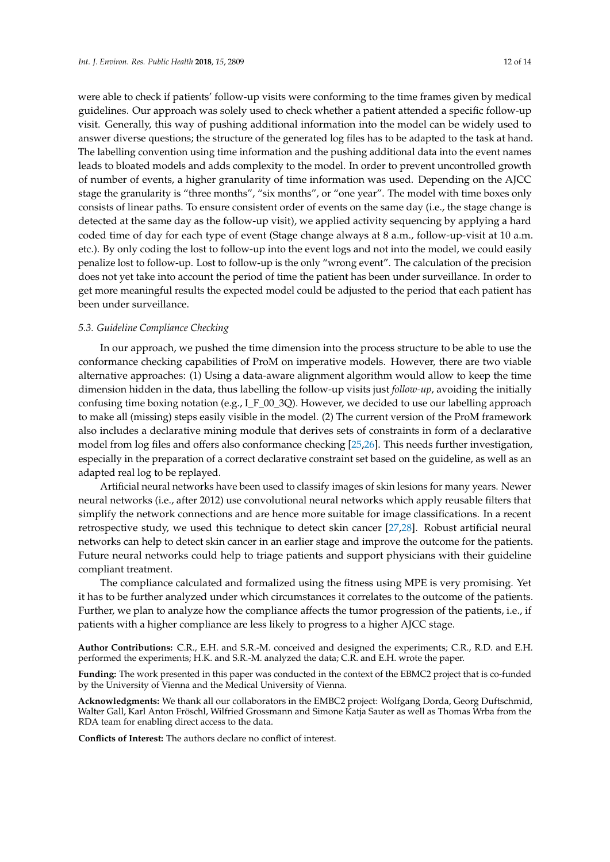were able to check if patients' follow-up visits were conforming to the time frames given by medical guidelines. Our approach was solely used to check whether a patient attended a specific follow-up visit. Generally, this way of pushing additional information into the model can be widely used to answer diverse questions; the structure of the generated log files has to be adapted to the task at hand. The labelling convention using time information and the pushing additional data into the event names leads to bloated models and adds complexity to the model. In order to prevent uncontrolled growth of number of events, a higher granularity of time information was used. Depending on the AJCC stage the granularity is "three months", "six months", or "one year". The model with time boxes only consists of linear paths. To ensure consistent order of events on the same day (i.e., the stage change is detected at the same day as the follow-up visit), we applied activity sequencing by applying a hard coded time of day for each type of event (Stage change always at 8 a.m., follow-up-visit at 10 a.m. etc.). By only coding the lost to follow-up into the event logs and not into the model, we could easily penalize lost to follow-up. Lost to follow-up is the only "wrong event". The calculation of the precision does not yet take into account the period of time the patient has been under surveillance. In order to get more meaningful results the expected model could be adjusted to the period that each patient has been under surveillance.

## *5.3. Guideline Compliance Checking*

In our approach, we pushed the time dimension into the process structure to be able to use the conformance checking capabilities of ProM on imperative models. However, there are two viable alternative approaches: (1) Using a data-aware alignment algorithm would allow to keep the time dimension hidden in the data, thus labelling the follow-up visits just *follow-up*, avoiding the initially confusing time boxing notation (e.g., I\_F\_00\_3Q). However, we decided to use our labelling approach to make all (missing) steps easily visible in the model. (2) The current version of the ProM framework also includes a declarative mining module that derives sets of constraints in form of a declarative model from log files and offers also conformance checking [\[25,](#page-13-10)[26\]](#page-13-11). This needs further investigation, especially in the preparation of a correct declarative constraint set based on the guideline, as well as an adapted real log to be replayed.

Artificial neural networks have been used to classify images of skin lesions for many years. Newer neural networks (i.e., after 2012) use convolutional neural networks which apply reusable filters that simplify the network connections and are hence more suitable for image classifications. In a recent retrospective study, we used this technique to detect skin cancer [\[27](#page-13-12)[,28\]](#page-13-13). Robust artificial neural networks can help to detect skin cancer in an earlier stage and improve the outcome for the patients. Future neural networks could help to triage patients and support physicians with their guideline compliant treatment.

The compliance calculated and formalized using the fitness using MPE is very promising. Yet it has to be further analyzed under which circumstances it correlates to the outcome of the patients. Further, we plan to analyze how the compliance affects the tumor progression of the patients, i.e., if patients with a higher compliance are less likely to progress to a higher AJCC stage.

**Author Contributions:** C.R., E.H. and S.R.-M. conceived and designed the experiments; C.R., R.D. and E.H. performed the experiments; H.K. and S.R.-M. analyzed the data; C.R. and E.H. wrote the paper.

**Funding:** The work presented in this paper was conducted in the context of the EBMC2 project that is co-funded by the University of Vienna and the Medical University of Vienna.

**Acknowledgments:** We thank all our collaborators in the EMBC2 project: Wolfgang Dorda, Georg Duftschmid, Walter Gall, Karl Anton Fröschl, Wilfried Grossmann and Simone Katja Sauter as well as Thomas Wrba from the RDA team for enabling direct access to the data.

**Conflicts of Interest:** The authors declare no conflict of interest.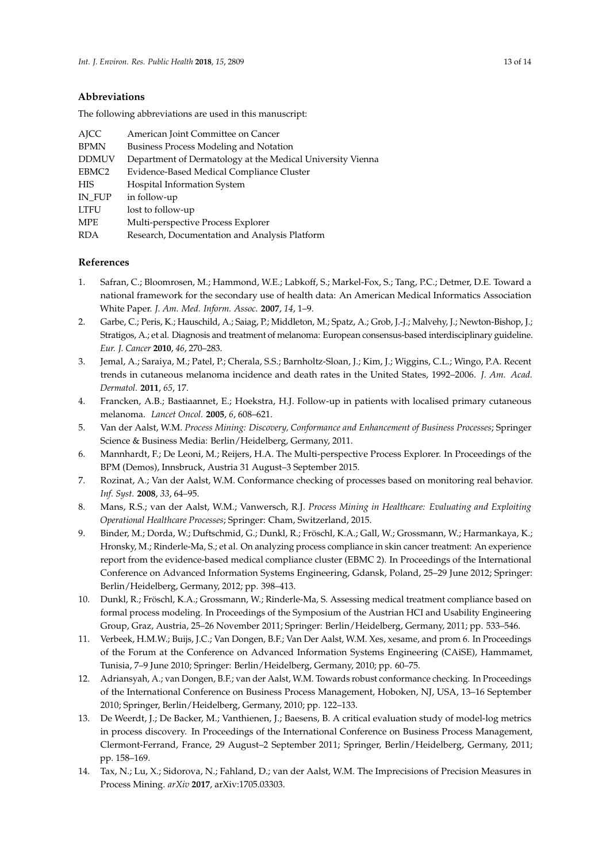## **Abbreviations**

The following abbreviations are used in this manuscript:

| AJCC         | American Joint Committee on Cancer                         |
|--------------|------------------------------------------------------------|
| <b>BPMN</b>  | Business Process Modeling and Notation                     |
| <b>DDMUV</b> | Department of Dermatology at the Medical University Vienna |
| EBMC2        | Evidence-Based Medical Compliance Cluster                  |
| <b>HIS</b>   | <b>Hospital Information System</b>                         |
| IN FUP       | in follow-up                                               |
| <b>LTFU</b>  | lost to follow-up                                          |
| <b>MPE</b>   | Multi-perspective Process Explorer                         |
| <b>RDA</b>   | Research, Documentation and Analysis Platform              |

## **References**

- <span id="page-12-0"></span>1. Safran, C.; Bloomrosen, M.; Hammond, W.E.; Labkoff, S.; Markel-Fox, S.; Tang, P.C.; Detmer, D.E. Toward a national framework for the secondary use of health data: An American Medical Informatics Association White Paper. *J. Am. Med. Inform. Assoc.* **2007**, *14*, 1–9.
- <span id="page-12-1"></span>2. Garbe, C.; Peris, K.; Hauschild, A.; Saiag, P.; Middleton, M.; Spatz, A.; Grob, J.-J.; Malvehy, J.; Newton-Bishop, J.; Stratigos, A.; et al. Diagnosis and treatment of melanoma: European consensus-based interdisciplinary guideline. *Eur. J. Cancer* **2010**, *46*, 270–283.
- <span id="page-12-2"></span>3. Jemal, A.; Saraiya, M.; Patel, P.; Cherala, S.S.; Barnholtz-Sloan, J.; Kim, J.; Wiggins, C.L.; Wingo, P.A. Recent trends in cutaneous melanoma incidence and death rates in the United States, 1992–2006. *J. Am. Acad. Dermatol.* **2011**, *65*, 17.
- <span id="page-12-3"></span>4. Francken, A.B.; Bastiaannet, E.; Hoekstra, H.J. Follow-up in patients with localised primary cutaneous melanoma. *Lancet Oncol.* **2005**, *6*, 608–621.
- <span id="page-12-4"></span>5. Van der Aalst, W.M. *Process Mining: Discovery, Conformance and Enhancement of Business Processes*; Springer Science & Business Media: Berlin/Heidelberg, Germany, 2011.
- <span id="page-12-5"></span>6. Mannhardt, F.; De Leoni, M.; Reijers, H.A. The Multi-perspective Process Explorer. In Proceedings of the BPM (Demos), Innsbruck, Austria 31 August–3 September 2015.
- <span id="page-12-6"></span>7. Rozinat, A.; Van der Aalst, W.M. Conformance checking of processes based on monitoring real behavior. *Inf. Syst.* **2008**, *33*, 64–95.
- <span id="page-12-7"></span>8. Mans, R.S.; van der Aalst, W.M.; Vanwersch, R.J. *Process Mining in Healthcare: Evaluating and Exploiting Operational Healthcare Processes*; Springer: Cham, Switzerland, 2015.
- <span id="page-12-8"></span>9. Binder, M.; Dorda, W.; Duftschmid, G.; Dunkl, R.; Fröschl, K.A.; Gall, W.; Grossmann, W.; Harmankaya, K.; Hronsky, M.; Rinderle-Ma, S.; et al. On analyzing process compliance in skin cancer treatment: An experience report from the evidence-based medical compliance cluster (EBMC 2). In Proceedings of the International Conference on Advanced Information Systems Engineering, Gdansk, Poland, 25–29 June 2012; Springer: Berlin/Heidelberg, Germany, 2012; pp. 398–413.
- <span id="page-12-9"></span>10. Dunkl, R.; Fröschl, K.A.; Grossmann, W.; Rinderle-Ma, S. Assessing medical treatment compliance based on formal process modeling. In Proceedings of the Symposium of the Austrian HCI and Usability Engineering Group, Graz, Austria, 25–26 November 2011; Springer: Berlin/Heidelberg, Germany, 2011; pp. 533–546.
- <span id="page-12-10"></span>11. Verbeek, H.M.W.; Buijs, J.C.; Van Dongen, B.F.; Van Der Aalst, W.M. Xes, xesame, and prom 6. In Proceedings of the Forum at the Conference on Advanced Information Systems Engineering (CAiSE), Hammamet, Tunisia, 7–9 June 2010; Springer: Berlin/Heidelberg, Germany, 2010; pp. 60–75.
- <span id="page-12-11"></span>12. Adriansyah, A.; van Dongen, B.F.; van der Aalst, W.M. Towards robust conformance checking. In Proceedings of the International Conference on Business Process Management, Hoboken, NJ, USA, 13–16 September 2010; Springer, Berlin/Heidelberg, Germany, 2010; pp. 122–133.
- <span id="page-12-12"></span>13. De Weerdt, J.; De Backer, M.; Vanthienen, J.; Baesens, B. A critical evaluation study of model-log metrics in process discovery. In Proceedings of the International Conference on Business Process Management, Clermont-Ferrand, France, 29 August–2 September 2011; Springer, Berlin/Heidelberg, Germany, 2011; pp. 158–169.
- <span id="page-12-13"></span>14. Tax, N.; Lu, X.; Sidorova, N.; Fahland, D.; van der Aalst, W.M. The Imprecisions of Precision Measures in Process Mining. *arXiv* **2017**, arXiv:1705.03303.